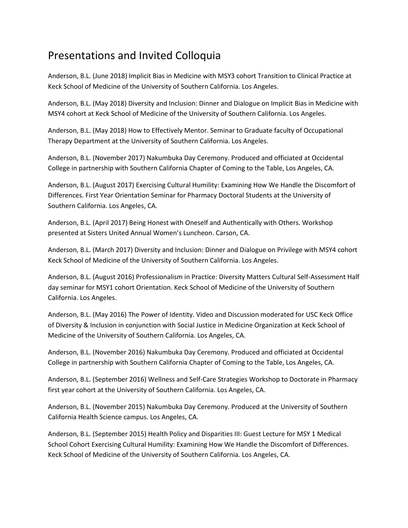## Presentations and Invited Colloquia

Anderson, B.L. (June 2018) Implicit Bias in Medicine with MSY3 cohort Transition to Clinical Practice at Keck School of Medicine of the University of Southern California. Los Angeles.

Anderson, B.L. (May 2018) Diversity and Inclusion: Dinner and Dialogue on Implicit Bias in Medicine with MSY4 cohort at Keck School of Medicine of the University of Southern California. Los Angeles.

Anderson, B.L. (May 2018) How to Effectively Mentor. Seminar to Graduate faculty of Occupational Therapy Department at the University of Southern California. Los Angeles.

Anderson, B.L. (November 2017) Nakumbuka Day Ceremony. Produced and officiated at Occidental College in partnership with Southern California Chapter of Coming to the Table, Los Angeles, CA.

Anderson, B.L. (August 2017) Exercising Cultural Humility: Examining How We Handle the Discomfort of Differences. First Year Orientation Seminar for Pharmacy Doctoral Students at the University of Southern California. Los Angeles, CA.

Anderson, B.L. (April 2017) Being Honest with Oneself and Authentically with Others. Workshop presented at Sisters United Annual Women's Luncheon. Carson, CA.

Anderson, B.L. (March 2017) Diversity and Inclusion: Dinner and Dialogue on Privilege with MSY4 cohort Keck School of Medicine of the University of Southern California. Los Angeles.

Anderson, B.L. (August 2016) Professionalism in Practice: Diversity Matters Cultural Self-Assessment Half day seminar for MSY1 cohort Orientation. Keck School of Medicine of the University of Southern California. Los Angeles.

Anderson, B.L. (May 2016) The Power of Identity. Video and Discussion moderated for USC Keck Office of Diversity & Inclusion in conjunction with Social Justice in Medicine Organization at Keck School of Medicine of the University of Southern California. Los Angeles, CA.

Anderson, B.L. (November 2016) Nakumbuka Day Ceremony. Produced and officiated at Occidental College in partnership with Southern California Chapter of Coming to the Table, Los Angeles, CA.

Anderson, B.L. (September 2016) Wellness and Self-Care Strategies Workshop to Doctorate in Pharmacy first year cohort at the University of Southern California. Los Angeles, CA.

Anderson, B.L. (November 2015) Nakumbuka Day Ceremony. Produced at the University of Southern California Health Science campus. Los Angeles, CA.

Anderson, B.L. (September 2015) Health Policy and Disparities III: Guest Lecture for MSY 1 Medical School Cohort Exercising Cultural Humility: Examining How We Handle the Discomfort of Differences. Keck School of Medicine of the University of Southern California. Los Angeles, CA.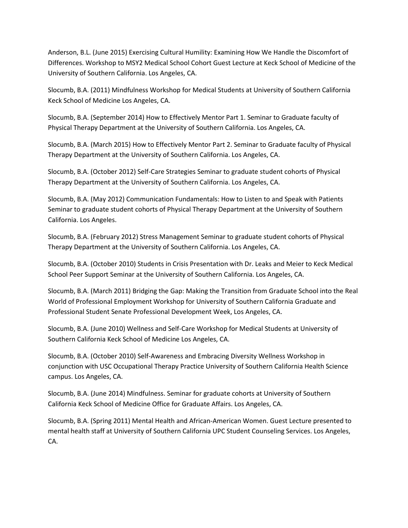Anderson, B.L. (June 2015) Exercising Cultural Humility: Examining How We Handle the Discomfort of Differences. Workshop to MSY2 Medical School Cohort Guest Lecture at Keck School of Medicine of the University of Southern California. Los Angeles, CA.

Slocumb, B.A. (2011) Mindfulness Workshop for Medical Students at University of Southern California Keck School of Medicine Los Angeles, CA.

Slocumb, B.A. (September 2014) How to Effectively Mentor Part 1. Seminar to Graduate faculty of Physical Therapy Department at the University of Southern California. Los Angeles, CA.

Slocumb, B.A. (March 2015) How to Effectively Mentor Part 2. Seminar to Graduate faculty of Physical Therapy Department at the University of Southern California. Los Angeles, CA.

Slocumb, B.A. (October 2012) Self-Care Strategies Seminar to graduate student cohorts of Physical Therapy Department at the University of Southern California. Los Angeles, CA.

Slocumb, B.A. (May 2012) Communication Fundamentals: How to Listen to and Speak with Patients Seminar to graduate student cohorts of Physical Therapy Department at the University of Southern California. Los Angeles.

Slocumb, B.A. (February 2012) Stress Management Seminar to graduate student cohorts of Physical Therapy Department at the University of Southern California. Los Angeles, CA.

Slocumb, B.A. (October 2010) Students in Crisis Presentation with Dr. Leaks and Meier to Keck Medical School Peer Support Seminar at the University of Southern California. Los Angeles, CA.

Slocumb, B.A. (March 2011) Bridging the Gap: Making the Transition from Graduate School into the Real World of Professional Employment Workshop for University of Southern California Graduate and Professional Student Senate Professional Development Week, Los Angeles, CA.

Slocumb, B.A. (June 2010) Wellness and Self-Care Workshop for Medical Students at University of Southern California Keck School of Medicine Los Angeles, CA.

Slocumb, B.A. (October 2010) Self-Awareness and Embracing Diversity Wellness Workshop in conjunction with USC Occupational Therapy Practice University of Southern California Health Science campus. Los Angeles, CA.

Slocumb, B.A. (June 2014) Mindfulness. Seminar for graduate cohorts at University of Southern California Keck School of Medicine Office for Graduate Affairs. Los Angeles, CA.

Slocumb, B.A. (Spring 2011) Mental Health and African-American Women. Guest Lecture presented to mental health staff at University of Southern California UPC Student Counseling Services. Los Angeles, CA.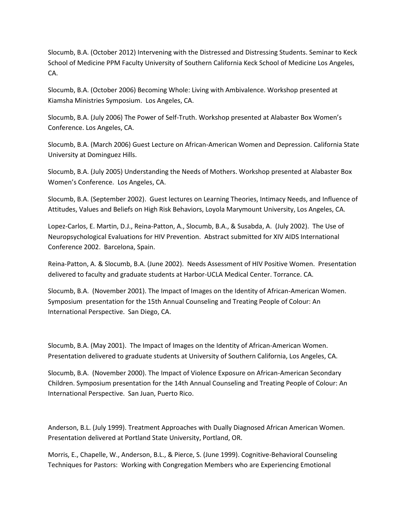Slocumb, B.A. (October 2012) Intervening with the Distressed and Distressing Students. Seminar to Keck School of Medicine PPM Faculty University of Southern California Keck School of Medicine Los Angeles, CA.

Slocumb, B.A. (October 2006) Becoming Whole: Living with Ambivalence. Workshop presented at Kiamsha Ministries Symposium. Los Angeles, CA.

Slocumb, B.A. (July 2006) The Power of Self-Truth. Workshop presented at Alabaster Box Women's Conference. Los Angeles, CA.

Slocumb, B.A. (March 2006) Guest Lecture on African-American Women and Depression. California State University at Dominguez Hills.

Slocumb, B.A. (July 2005) Understanding the Needs of Mothers. Workshop presented at Alabaster Box Women's Conference. Los Angeles, CA.

Slocumb, B.A. (September 2002). Guest lectures on Learning Theories, Intimacy Needs, and Influence of Attitudes, Values and Beliefs on High Risk Behaviors, Loyola Marymount University, Los Angeles, CA.

Lopez-Carlos, E. Martin, D.J., Reina-Patton, A., Slocumb, B.A., & Susabda, A. (July 2002). The Use of Neuropsychological Evaluations for HIV Prevention. Abstract submitted for XIV AIDS International Conference 2002. Barcelona, Spain.

Reina-Patton, A. & Slocumb, B.A. (June 2002). Needs Assessment of HIV Positive Women. Presentation delivered to faculty and graduate students at Harbor-UCLA Medical Center. Torrance. CA.

Slocumb, B.A. (November 2001). The Impact of Images on the Identity of African-American Women. Symposium presentation for the 15th Annual Counseling and Treating People of Colour: An International Perspective. San Diego, CA.

Slocumb, B.A. (May 2001). The Impact of Images on the Identity of African-American Women. Presentation delivered to graduate students at University of Southern California, Los Angeles, CA.

Slocumb, B.A. (November 2000). The Impact of Violence Exposure on African-American Secondary Children. Symposium presentation for the 14th Annual Counseling and Treating People of Colour: An International Perspective. San Juan, Puerto Rico.

Anderson, B.L. (July 1999). Treatment Approaches with Dually Diagnosed African American Women. Presentation delivered at Portland State University, Portland, OR.

Morris, E., Chapelle, W., Anderson, B.L., & Pierce, S. (June 1999). Cognitive-Behavioral Counseling Techniques for Pastors: Working with Congregation Members who are Experiencing Emotional